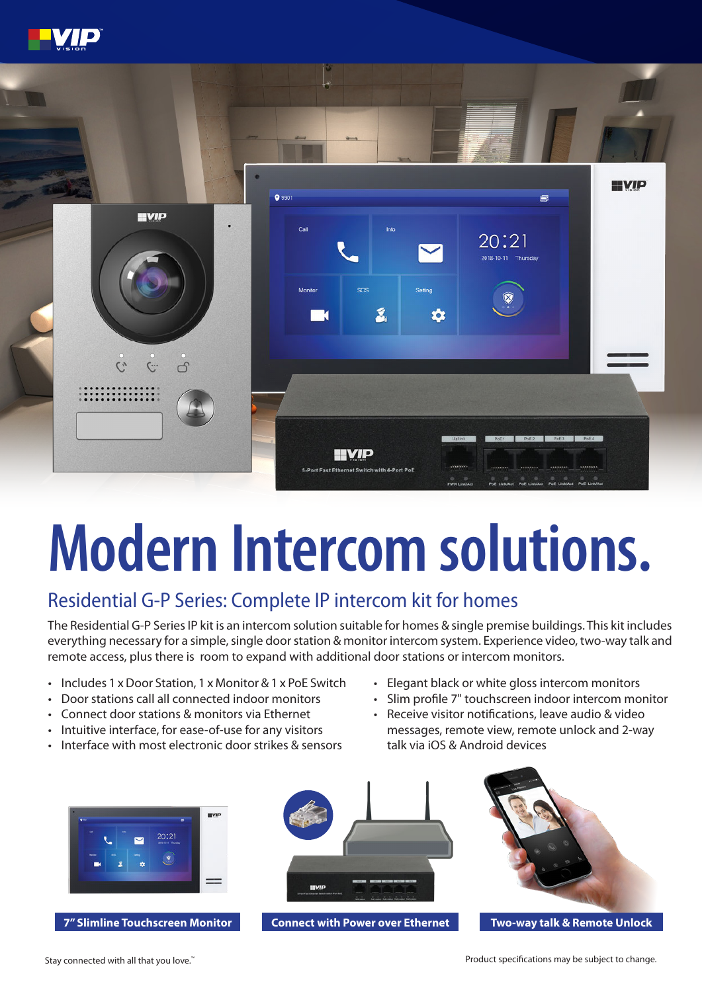



# **Modern Intercom solutions.**

## Residential G-P Series: Complete IP intercom kit for homes

The Residential G-P Series IP kit is an intercom solution suitable for homes & single premise buildings. This kit includes everything necessary for a simple, single door station & monitor intercom system. Experience video, two-way talk and remote access, plus there is room to expand with additional door stations or intercom monitors.

- Includes 1 x Door Station, 1 x Monitor & 1 x PoE Switch
- Door stations call all connected indoor monitors
- Connect door stations & monitors via Ethernet
- Intuitive interface, for ease-of-use for any visitors
- Interface with most electronic door strikes & sensors
- Elegant black or white gloss intercom monitors
- Slim profile 7" touchscreen indoor intercom monitor
- Receive visitor notifications, leave audio & video messages, remote view, remote unlock and 2-way talk via iOS & Android devices





**7" Slimline Touchscreen Monitor Two-way talk & Remote Unlock Connect with Power over Ethernet**